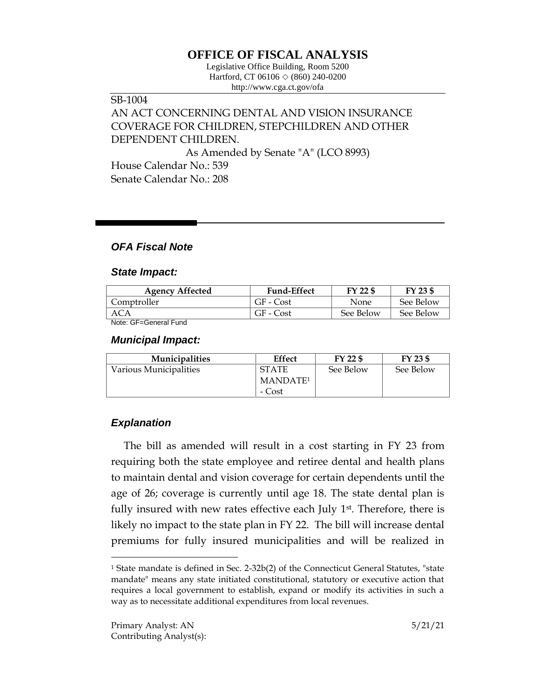# **OFFICE OF FISCAL ANALYSIS**

Legislative Office Building, Room 5200 Hartford, CT 06106 ◇ (860) 240-0200 http://www.cga.ct.gov/ofa

## SB-1004 AN ACT CONCERNING DENTAL AND VISION INSURANCE COVERAGE FOR CHILDREN, STEPCHILDREN AND OTHER DEPENDENT CHILDREN.

As Amended by Senate "A" (LCO 8993)

House Calendar No.: 539 Senate Calendar No.: 208

### *OFA Fiscal Note*

#### *State Impact:*

| <b>Agency Affected</b> | <b>Fund-Effect</b> | FY 22 \$    | FY 23 \$  |
|------------------------|--------------------|-------------|-----------|
| Comptroller            | GF - Cost          | <b>None</b> | See Below |
| ACA                    | $GF - Cost$        | See Below   | See Below |
| Note: GF=General Fund  |                    |             |           |

*Municipal Impact:*

| <b>Municipalities</b>  | <b>Effect</b>        | FY 22 \$  | FY 23 \$  |
|------------------------|----------------------|-----------|-----------|
| Various Municipalities | <b>STATE</b>         | See Below | See Below |
|                        | MANDATE <sup>1</sup> |           |           |
|                        | - Cost               |           |           |

### *Explanation*

 $\overline{a}$ 

The bill as amended will result in a cost starting in FY 23 from requiring both the state employee and retiree dental and health plans to maintain dental and vision coverage for certain dependents until the age of 26; coverage is currently until age 18. The state dental plan is fully insured with new rates effective each July 1<sup>st</sup>. Therefore, there is likely no impact to the state plan in FY 22. The bill will increase dental premiums for fully insured municipalities and will be realized in

<sup>&</sup>lt;sup>1</sup> State mandate is defined in Sec. 2-32b(2) of the Connecticut General Statutes, "state mandate" means any state initiated constitutional, statutory or executive action that requires a local government to establish, expand or modify its activities in such a way as to necessitate additional expenditures from local revenues.